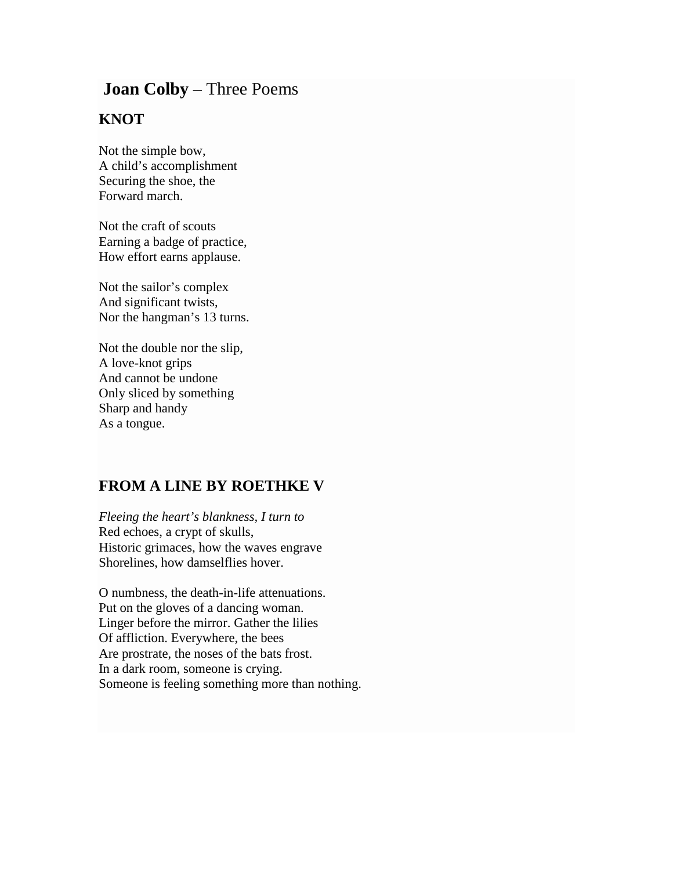## **Joan Colby** – Three Poems

## **KNOT**

Not the simple bow, A child's accomplishment Securing the shoe, the Forward march.

Not the craft of scouts Earning a badge of practice, How effort earns applause.

Not the sailor's complex And significant twists, Nor the hangman's 13 turns.

Not the double nor the slip, A love-knot grips And cannot be undone Only sliced by something Sharp and handy As a tongue.

## **FROM A LINE BY ROETHKE V**

*Fleeing the heart's blankness, I turn to* Red echoes, a crypt of skulls, Historic grimaces, how the waves engrave Shorelines, how damselflies hover.

O numbness, the death-in-life attenuations. Put on the gloves of a dancing woman. Linger before the mirror. Gather the lilies Of affliction. Everywhere, the bees Are prostrate, the noses of the bats frost. In a dark room, someone is crying. Someone is feeling something more than nothing.